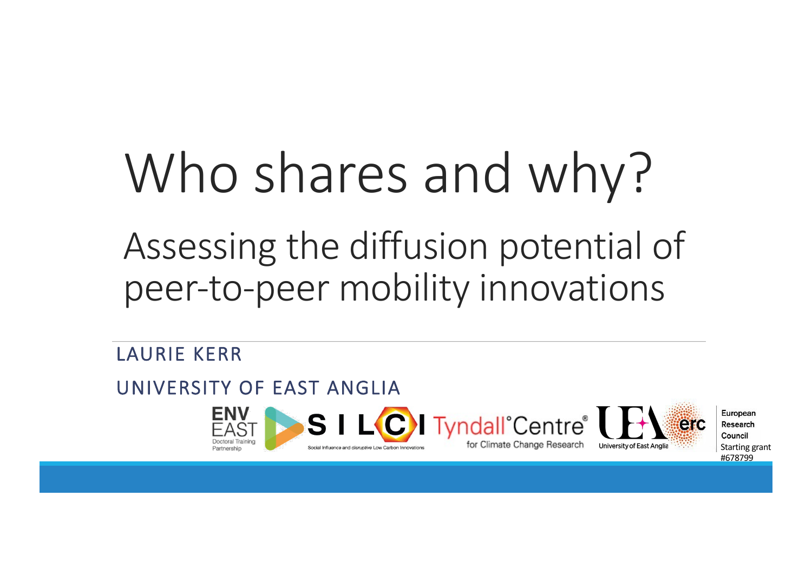# Who shares and why? Assessing the diffusion potential of peer-to-peer mobility innovations

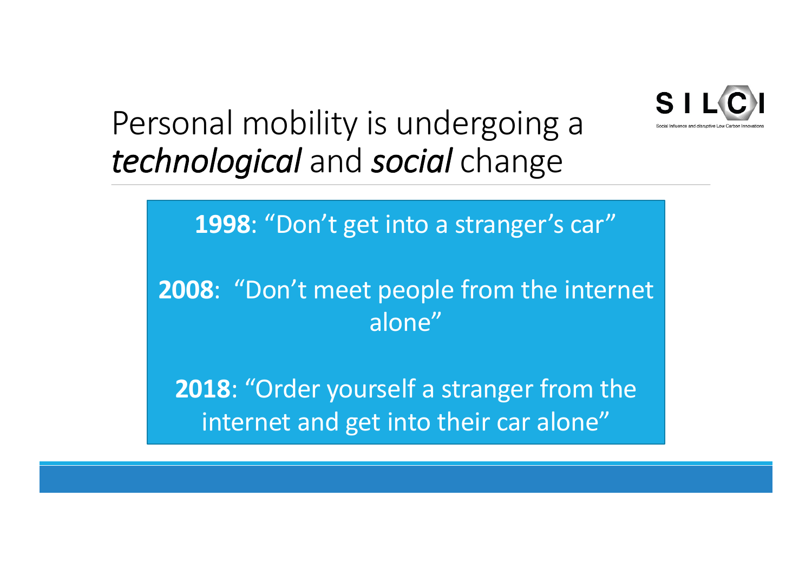

### Personal mobility is undergoing a *technological* and *social* change

**1998**: "Don't get into a stranger's car"

**2008**: "Don't meet people from the internet alone"

**2018**: "Order yourself a stranger from the internet and get into their car alone"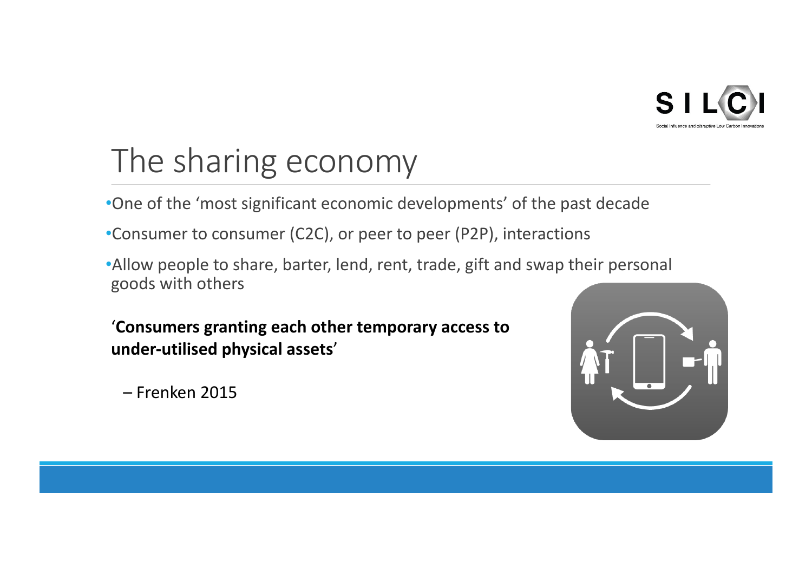

### The sharing economy

- •One of the 'most significant economic developments' of the past decade
- •Consumer to consumer (C2C), or peer to peer (P2P), interactions
- •Allow people to share, barter, lend, rent, trade, gift and swap their personal goods with others

'**Consumers granting each other temporary access to under-utilised physical assets**'

– Frenken 2015

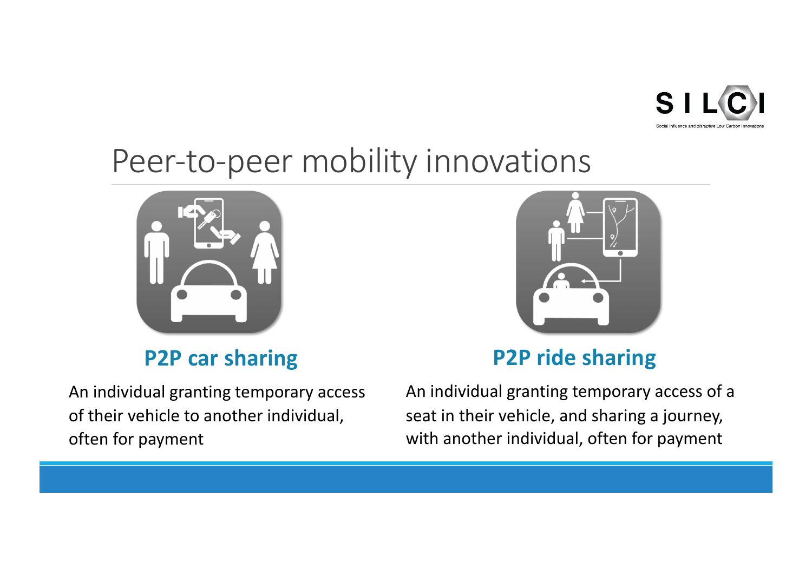

### Peer-to-peer mobility innovations



#### **P2P car sharing**

An individual granting temporary access of their vehicle to another individual, often for payment



### **P2P ride sharing**

An individual granting temporary access of a seat in their vehicle, and sharing a journey, with another individual, often for payment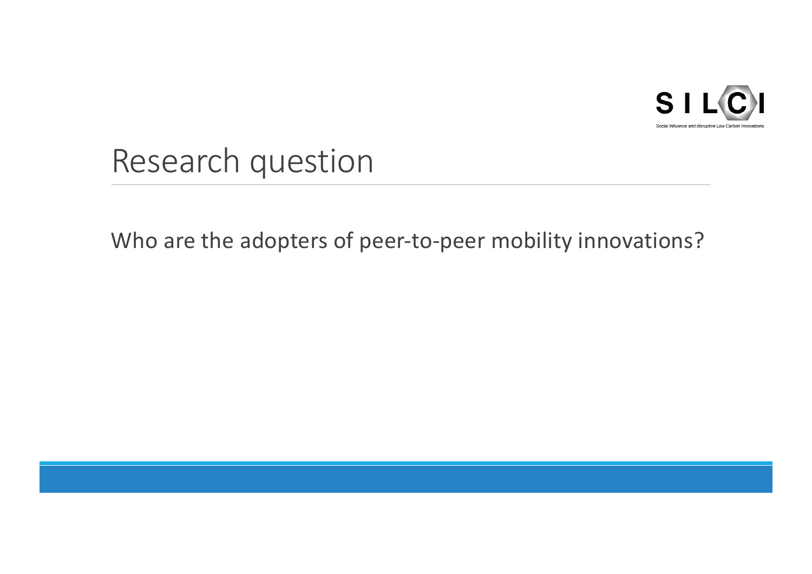

Research question

Who are the adopters of peer-to-peer mobility innovations?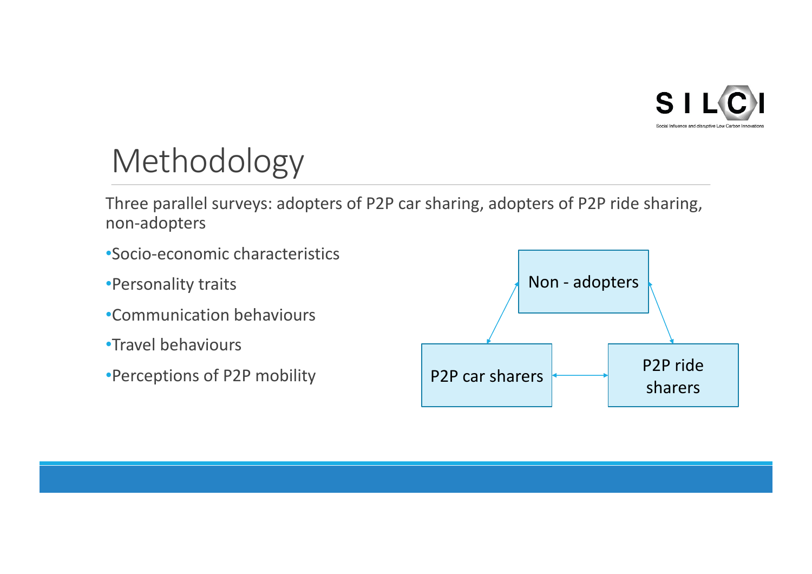

## Methodology

Three parallel surveys: adopters of P2P car sharing, adopters of P2P ride sharing, non-adopters

- •Socio-economic characteristics
- •Personality traits
- •Communication behaviours
- •Travel behaviours
- •Perceptions of P2P mobility

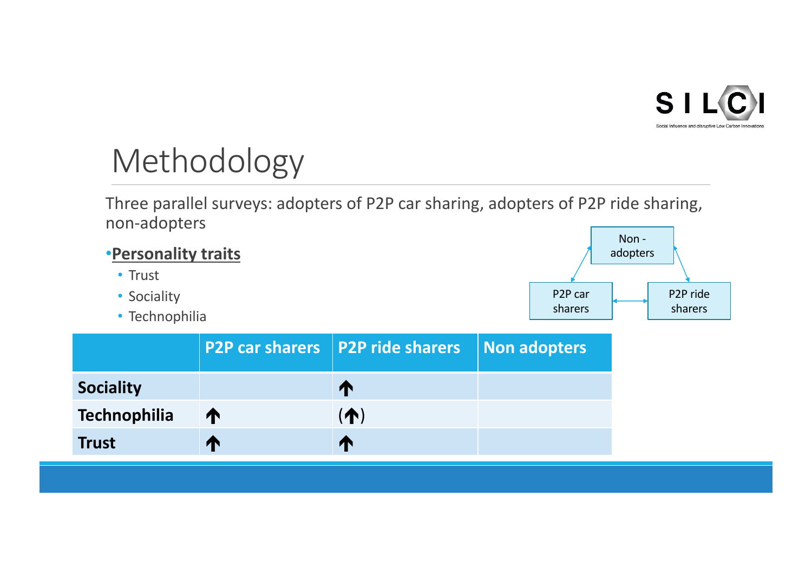

## Methodology

Three parallel surveys: adopters of P2P car sharing, adopters of P2P ride sharing, non-adopters



| <b>Sociality</b> |   |    |  |
|------------------|---|----|--|
| Technophilia     | T | T. |  |
| <b>Trust</b>     | И |    |  |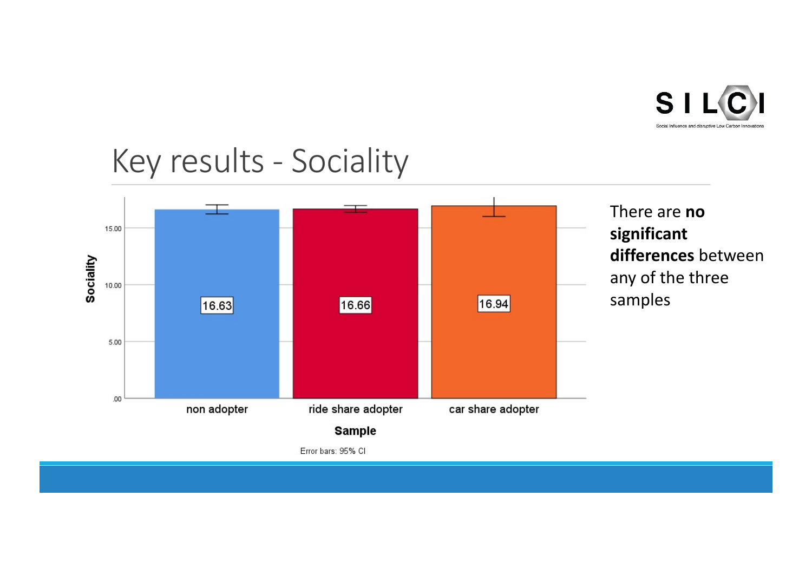

### Key results - Sociality

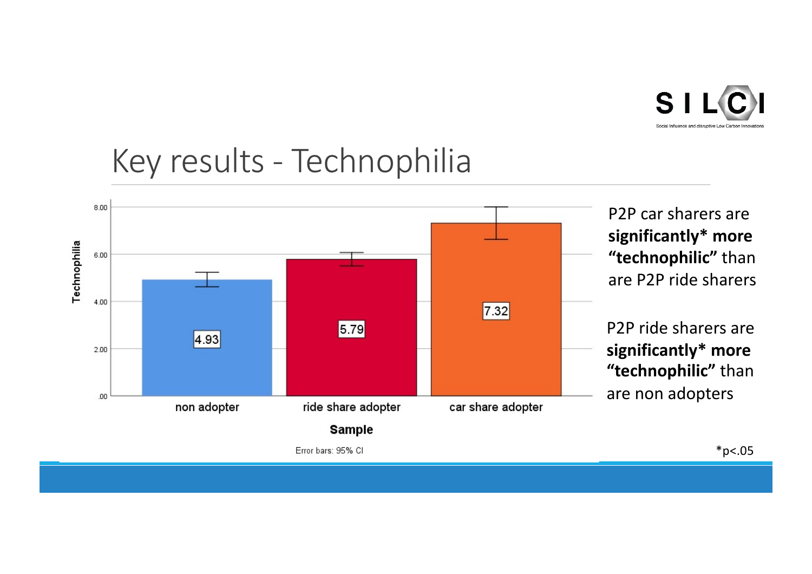

### Key results - Technophilia

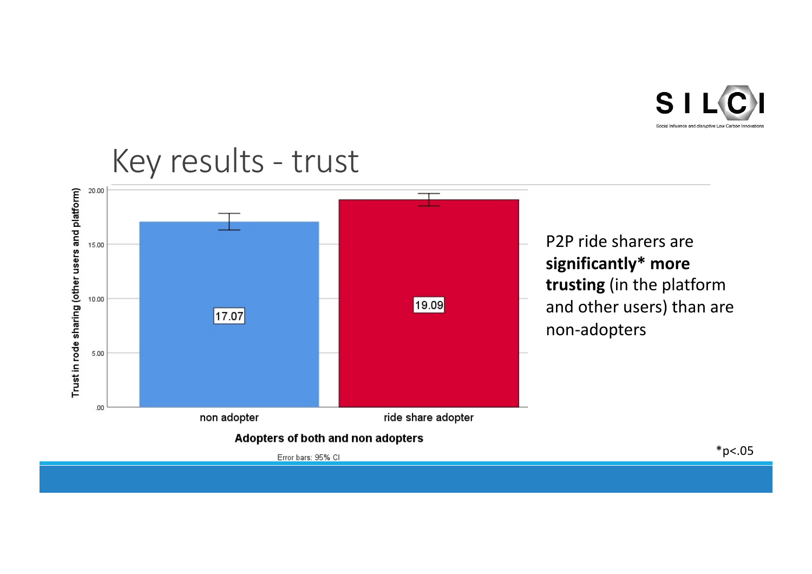

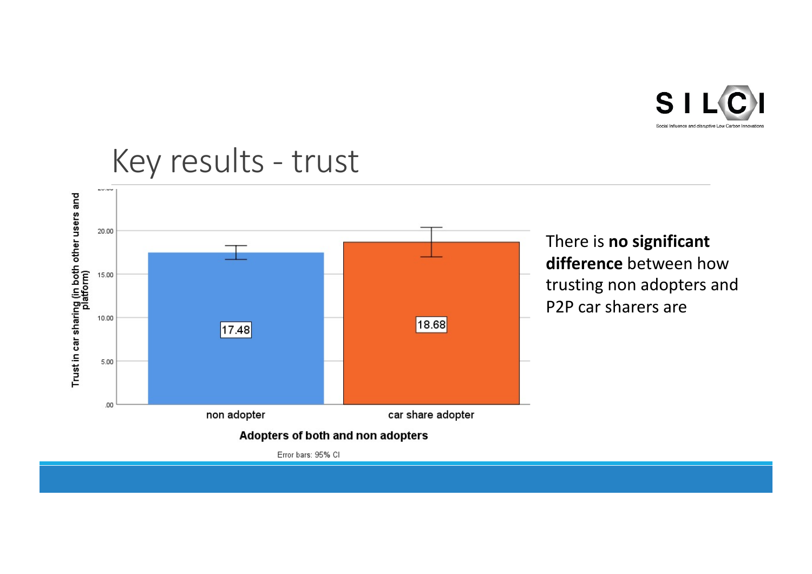

#### Trust in car sharing (in both other users and<br>platform) 20.00 There is **no significant difference** between how 15.00 trusting non adopters and P2P car sharers are10.00 18.68  $17.48$ 5.00  $.00.$ non adopter car share adopter Adopters of both and non adopters Error bars: 95% CI

### Key results - trust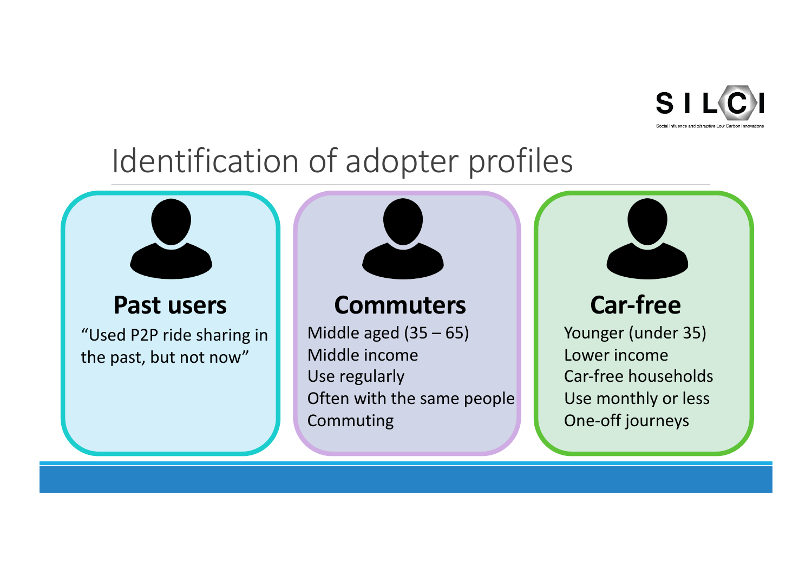

### Identification of adopter profiles

"Used P2P ride sharing in the past, but not now"



### **Past users 1. Commuters 1. Car-free**

Middle aged  $(35 - 65)$ Middle income Use regularly Often with the same people Commuting

Younger (under 35) Lower income Car-free households Use monthly or less One-off journeys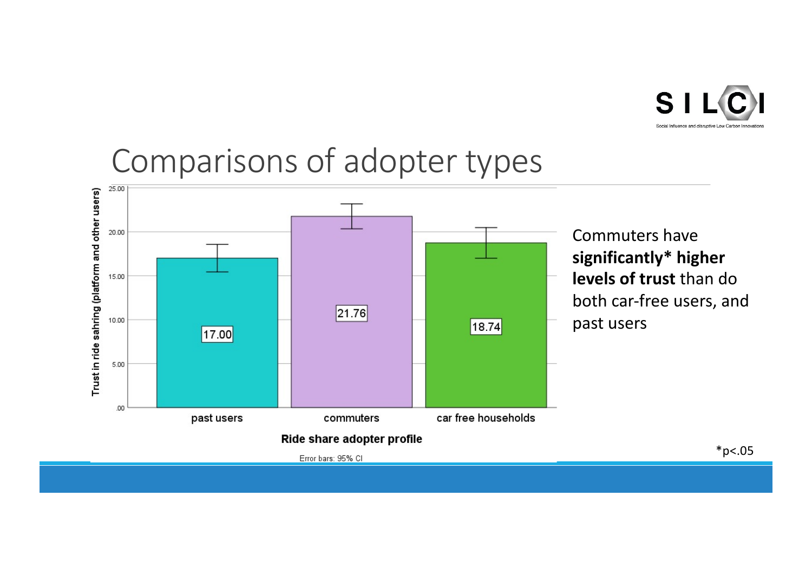

### Comparisons of adopter types

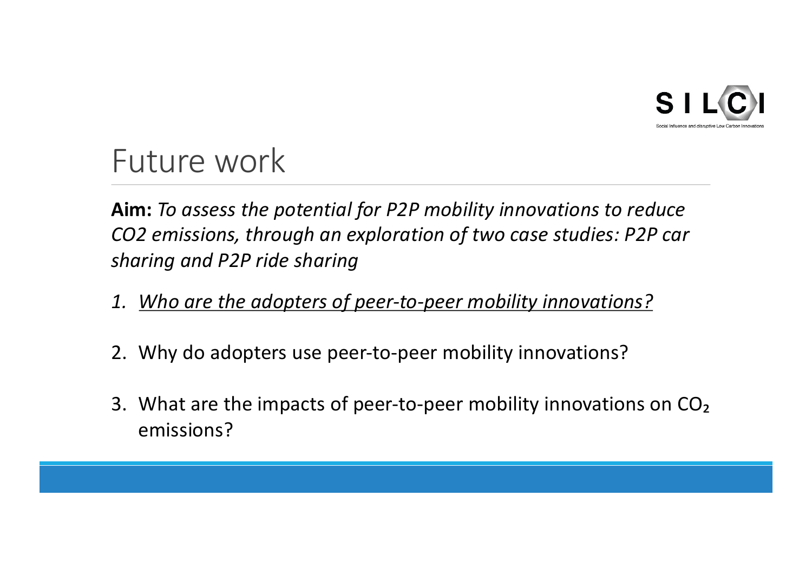

### Future work

**Aim:** *To assess the potential for P2P mobility innovations to reduce CO2 emissions, through an exploration of two case studies: P2P car sharing and P2P ride sharing*

- *1. Who are the adopters of peer-to-peer mobility innovations?*
- 2. Why do adopters use peer-to-peer mobility innovations?
- 3. What are the impacts of peer-to-peer mobility innovations on CO<sub>2</sub> emissions?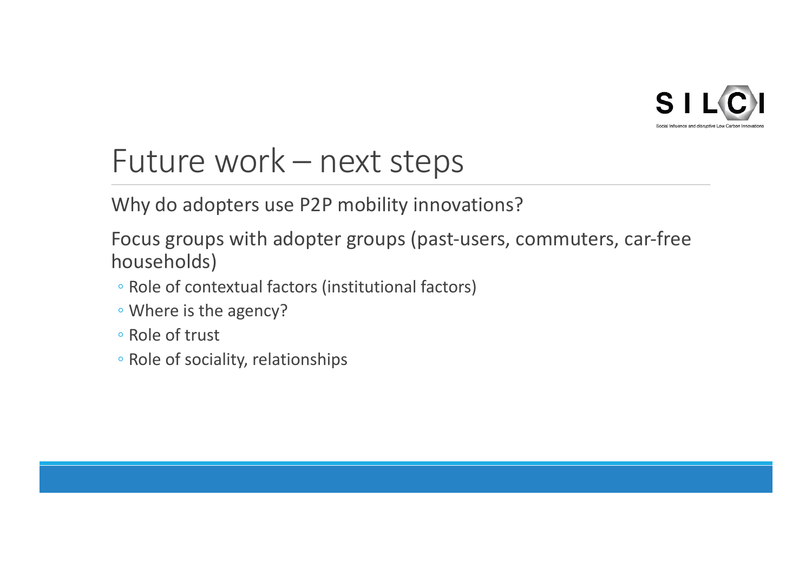

### Future work – next steps

Why do adopters use P2P mobility innovations?

Focus groups with adopter groups (past-users, commuters, car-free households)

- Role of contextual factors (institutional factors)
- Where is the agency?
- Role of trust
- Role of sociality, relationships